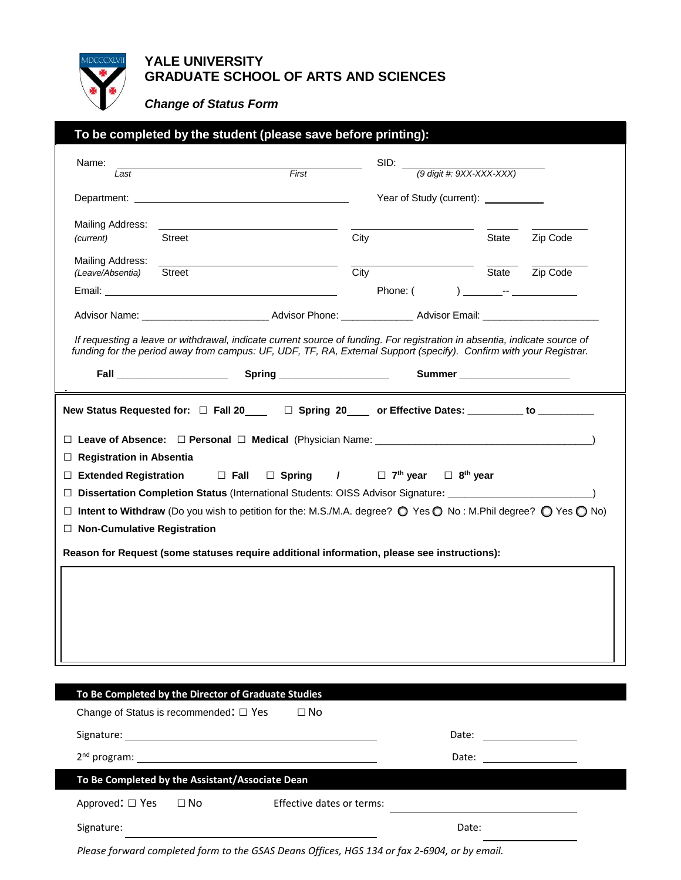

# **YALE UNIVERSITY GRADUATE SCHOOL OF ARTS AND SCIENCES**

*Change of Status Form*

| To be completed by the student (please save before printing):                            |                                                                                                                                                                                                                                  |                                                                                                                                                                                                                                                 |      |                                                         |       |                                       |                              |  |
|------------------------------------------------------------------------------------------|----------------------------------------------------------------------------------------------------------------------------------------------------------------------------------------------------------------------------------|-------------------------------------------------------------------------------------------------------------------------------------------------------------------------------------------------------------------------------------------------|------|---------------------------------------------------------|-------|---------------------------------------|------------------------------|--|
| Name:                                                                                    |                                                                                                                                                                                                                                  | First                                                                                                                                                                                                                                           |      |                                                         |       | $SID:$ (9 digit #: 9XX-XXX-XXX)       |                              |  |
| Last                                                                                     |                                                                                                                                                                                                                                  |                                                                                                                                                                                                                                                 |      |                                                         |       |                                       |                              |  |
|                                                                                          |                                                                                                                                                                                                                                  |                                                                                                                                                                                                                                                 |      |                                                         |       | Year of Study (current): ____________ |                              |  |
| Mailing Address:                                                                         |                                                                                                                                                                                                                                  |                                                                                                                                                                                                                                                 |      |                                                         |       |                                       |                              |  |
| (current)                                                                                | Street                                                                                                                                                                                                                           |                                                                                                                                                                                                                                                 | City |                                                         |       | State                                 | Zip Code                     |  |
| Mailing Address:<br>(Leave/Absentia)                                                     | Street                                                                                                                                                                                                                           |                                                                                                                                                                                                                                                 | City |                                                         |       |                                       | State <b>Zip Code</b>        |  |
|                                                                                          |                                                                                                                                                                                                                                  |                                                                                                                                                                                                                                                 |      | Phone: (                                                |       |                                       |                              |  |
|                                                                                          |                                                                                                                                                                                                                                  |                                                                                                                                                                                                                                                 |      |                                                         |       |                                       |                              |  |
|                                                                                          | <b>Fall Exhibition Contract Contract Contract Contract Contract Contract Contract Contract Contract Contract Contract Contract Contract Contract Contract Contract Contract Contract Contract Contract Contract Contract Con</b> | If requesting a leave or withdrawal, indicate current source of funding. For registration in absentia, indicate source of<br>funding for the period away from campus: UF, UDF, TF, RA, External Support (specify). Confirm with your Registrar. |      |                                                         |       |                                       | Summer _____________________ |  |
|                                                                                          |                                                                                                                                                                                                                                  |                                                                                                                                                                                                                                                 |      |                                                         |       |                                       |                              |  |
| <b>Registration in Absentia</b><br>⊔<br><b>Extended Registration</b><br>$\Box$<br>$\Box$ | New Status Requested for: □ Fall 20____ □ Spring 20___ or Effective Dates: ________ to _________                                                                                                                                 | $\Box$ Fall $\Box$ Spring /<br>Dissertation Completion Status (International Students: OISS Advisor Signature: ____________________                                                                                                             |      | $\Box$ 7 <sup>th</sup> year $\Box$ 8 <sup>th</sup> year |       |                                       |                              |  |
| <b>Non-Cumulative Registration</b>                                                       |                                                                                                                                                                                                                                  | Intent to Withdraw (Do you wish to petition for the: M.S./M.A. degree? ◯ Yes ◯ No : M.Phil degree? ◯ Yes ◯ No)<br>Reason for Request (some statuses require additional information, please see instructions):                                   |      |                                                         |       |                                       |                              |  |
|                                                                                          |                                                                                                                                                                                                                                  |                                                                                                                                                                                                                                                 |      |                                                         |       |                                       |                              |  |
|                                                                                          | To Be Completed by the Director of Graduate Studies                                                                                                                                                                              | $\Box$ No                                                                                                                                                                                                                                       |      |                                                         |       |                                       |                              |  |
|                                                                                          | Change of Status is recommended: □ Yes                                                                                                                                                                                           |                                                                                                                                                                                                                                                 |      |                                                         |       |                                       |                              |  |
|                                                                                          |                                                                                                                                                                                                                                  |                                                                                                                                                                                                                                                 |      |                                                         |       |                                       |                              |  |
|                                                                                          |                                                                                                                                                                                                                                  |                                                                                                                                                                                                                                                 |      |                                                         | Date: |                                       | <u> 1989 - Jan Bartha, p</u> |  |
|                                                                                          | To Be Completed by the Assistant/Associate Dean                                                                                                                                                                                  |                                                                                                                                                                                                                                                 |      |                                                         |       |                                       |                              |  |
| ⊔<br>$\Box$<br>Approved: □ Yes<br>Signature:                                             | $\Box$ No                                                                                                                                                                                                                        | Effective dates or terms:                                                                                                                                                                                                                       |      |                                                         | Date: |                                       |                              |  |

*Please forward completed form to the GSAS Deans Offices, HGS 134 or fax 2-6904, or by email.*